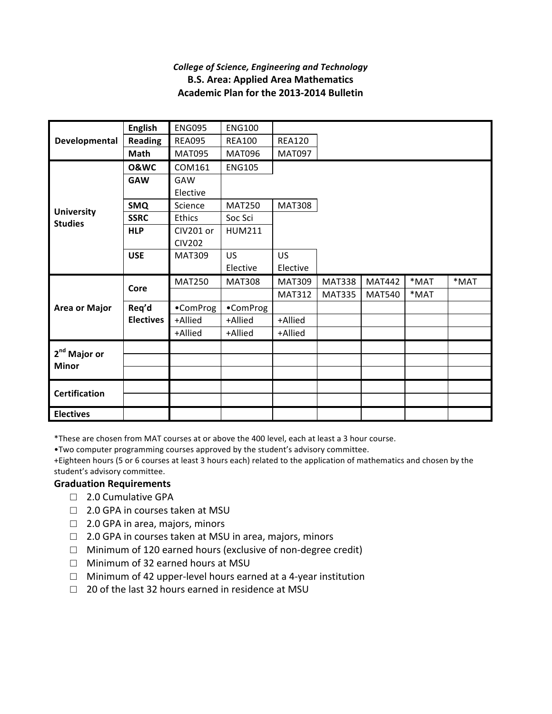## *College of Science, Engineering and Technology* **B.S. Area: Applied Area Mathematics Academic Plan for the 2013-2014 Bulletin**

| Developmental                            | <b>English</b>   | <b>ENG095</b> | <b>ENG100</b> |               |               |               |      |      |
|------------------------------------------|------------------|---------------|---------------|---------------|---------------|---------------|------|------|
|                                          | <b>Reading</b>   | <b>REA095</b> | <b>REA100</b> | <b>REA120</b> |               |               |      |      |
|                                          | Math             | <b>MAT095</b> | <b>MAT096</b> | <b>MAT097</b> |               |               |      |      |
| <b>University</b><br><b>Studies</b>      | <b>O&amp;WC</b>  | COM161        | <b>ENG105</b> |               |               |               |      |      |
|                                          | <b>GAW</b>       | GAW           |               |               |               |               |      |      |
|                                          |                  | Elective      |               |               |               |               |      |      |
|                                          | <b>SMQ</b>       | Science       | <b>MAT250</b> | <b>MAT308</b> |               |               |      |      |
|                                          | <b>SSRC</b>      | Ethics        | Soc Sci       |               |               |               |      |      |
|                                          | <b>HLP</b>       | CIV201 or     | <b>HUM211</b> |               |               |               |      |      |
|                                          |                  | <b>CIV202</b> |               |               |               |               |      |      |
|                                          | <b>USE</b>       | <b>MAT309</b> | US            | US.           |               |               |      |      |
|                                          |                  |               | Elective      | Elective      |               |               |      |      |
| <b>Area or Major</b>                     | Core             | <b>MAT250</b> | <b>MAT308</b> | <b>MAT309</b> | <b>MAT338</b> | <b>MAT442</b> | *MAT | *MAT |
|                                          |                  |               |               | <b>MAT312</b> | <b>MAT335</b> | <b>MAT540</b> | *MAT |      |
|                                          | Req'd            | •ComProg      | •ComProg      |               |               |               |      |      |
|                                          | <b>Electives</b> | +Allied       | +Allied       | +Allied       |               |               |      |      |
|                                          |                  | +Allied       | +Allied       | +Allied       |               |               |      |      |
| 2 <sup>nd</sup> Major or<br><b>Minor</b> |                  |               |               |               |               |               |      |      |
|                                          |                  |               |               |               |               |               |      |      |
|                                          |                  |               |               |               |               |               |      |      |
| <b>Certification</b>                     |                  |               |               |               |               |               |      |      |
|                                          |                  |               |               |               |               |               |      |      |
| <b>Electives</b>                         |                  |               |               |               |               |               |      |      |

\*These are chosen from MAT courses at or above the 400 level, each at least a 3 hour course.

. Two computer programming courses approved by the student's advisory committee.

+Eighteen hours (5 or 6 courses at least 3 hours each) related to the application of mathematics and chosen by the student's advisory committee.

## **Graduation Requirements**

- □ 2.0 Cumulative GPA
- $\Box$  2.0 GPA in courses taken at MSU
- $\Box$  2.0 GPA in area, majors, minors
- $\Box$  2.0 GPA in courses taken at MSU in area, majors, minors
- $\Box$  Minimum of 120 earned hours (exclusive of non-degree credit)
- □ Minimum of 32 earned hours at MSU
- $\Box$  Minimum of 42 upper-level hours earned at a 4-year institution
- $\Box$  20 of the last 32 hours earned in residence at MSU